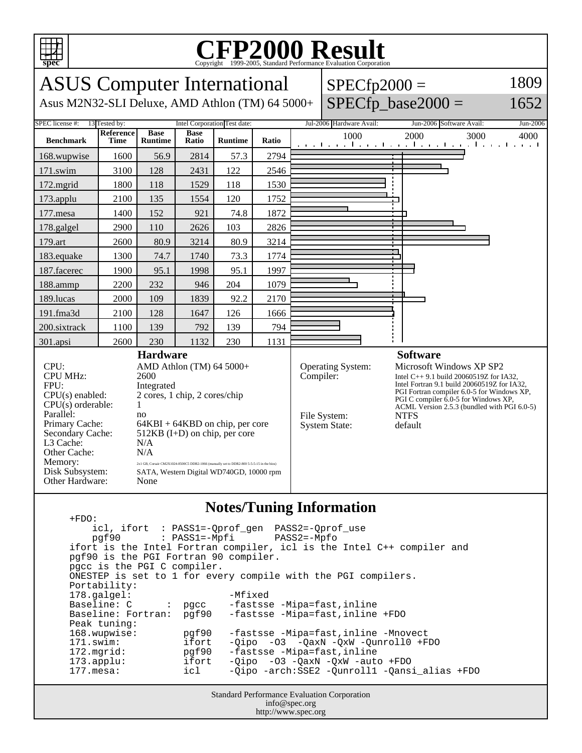

## C<sub>opyright</sub> ©1999-2005, Standard Performance Evaluation Corporation

| <b>ASUS</b> Computer International                                                                                                                                                   |                          |                               |                      |                                                                                                                                                                                                               |           |                                   | $SPECfp2000 =$                                                                                                                                                                                                                                                                |                                                                  | 1809     |
|--------------------------------------------------------------------------------------------------------------------------------------------------------------------------------------|--------------------------|-------------------------------|----------------------|---------------------------------------------------------------------------------------------------------------------------------------------------------------------------------------------------------------|-----------|-----------------------------------|-------------------------------------------------------------------------------------------------------------------------------------------------------------------------------------------------------------------------------------------------------------------------------|------------------------------------------------------------------|----------|
| Asus M2N32-SLI Deluxe, AMD Athlon (TM) 64 5000+                                                                                                                                      |                          |                               |                      |                                                                                                                                                                                                               |           |                                   |                                                                                                                                                                                                                                                                               | $SPECfp$ base2000 =                                              | 1652     |
| SPEC license #:<br>13 Tested by:<br>Intel Corporation Test date:                                                                                                                     |                          |                               |                      |                                                                                                                                                                                                               |           |                                   | Jul-2006 Hardware Avail:                                                                                                                                                                                                                                                      | Jun-2006 Software Avail:                                         | Jun-2006 |
| <b>Benchmark</b>                                                                                                                                                                     | Reference<br><b>Time</b> | <b>Base</b><br><b>Runtime</b> | <b>Base</b><br>Ratio | <b>Runtime</b>                                                                                                                                                                                                | Ratio     |                                   | 1000                                                                                                                                                                                                                                                                          | 2000<br>3000<br>المتواجب والمتواطن والمتواطن والمتواطن والمتواطن | 4000     |
| 168.wupwise                                                                                                                                                                          | 1600                     | 56.9                          | 2814                 | 57.3                                                                                                                                                                                                          | 2794      |                                   |                                                                                                                                                                                                                                                                               |                                                                  |          |
| 171.swim                                                                                                                                                                             | 3100                     | 128                           | 2431                 | 122                                                                                                                                                                                                           | 2546      |                                   |                                                                                                                                                                                                                                                                               |                                                                  |          |
| $172$ .mgrid                                                                                                                                                                         | 1800                     | 118                           | 1529                 | 118                                                                                                                                                                                                           | 1530      |                                   |                                                                                                                                                                                                                                                                               |                                                                  |          |
| 173.applu                                                                                                                                                                            | 2100                     | 135                           | 1554                 | 120                                                                                                                                                                                                           | 1752      |                                   |                                                                                                                                                                                                                                                                               |                                                                  |          |
| 177.mesa                                                                                                                                                                             | 1400                     | 152                           | 921                  | 74.8                                                                                                                                                                                                          | 1872      |                                   |                                                                                                                                                                                                                                                                               |                                                                  |          |
| 178.galgel                                                                                                                                                                           | 2900                     | 110                           | 2626                 | 103                                                                                                                                                                                                           | 2826      |                                   |                                                                                                                                                                                                                                                                               |                                                                  |          |
| 179.art                                                                                                                                                                              | 2600                     | 80.9                          | 3214                 | 80.9                                                                                                                                                                                                          | 3214      |                                   |                                                                                                                                                                                                                                                                               |                                                                  |          |
| 183.equake                                                                                                                                                                           | 1300                     | 74.7                          | 1740                 | 73.3                                                                                                                                                                                                          | 1774      |                                   |                                                                                                                                                                                                                                                                               |                                                                  |          |
| 187.facerec                                                                                                                                                                          | 1900                     | 95.1                          | 1998                 | 95.1                                                                                                                                                                                                          | 1997      |                                   |                                                                                                                                                                                                                                                                               |                                                                  |          |
| 188.ammp                                                                                                                                                                             | 2200                     | 232                           | 946                  | 204                                                                                                                                                                                                           | 1079      |                                   |                                                                                                                                                                                                                                                                               |                                                                  |          |
| 189.lucas                                                                                                                                                                            | 2000                     | 109                           | 1839                 | 92.2                                                                                                                                                                                                          | 2170      |                                   |                                                                                                                                                                                                                                                                               |                                                                  |          |
| 191.fma3d                                                                                                                                                                            | 2100                     | 128                           | 1647                 | 126                                                                                                                                                                                                           | 1666      |                                   |                                                                                                                                                                                                                                                                               |                                                                  |          |
| 200.sixtrack                                                                                                                                                                         | 1100                     | 139                           | 792                  | 139                                                                                                                                                                                                           | 794       |                                   |                                                                                                                                                                                                                                                                               |                                                                  |          |
| 301.apsi                                                                                                                                                                             | 2600                     | 230                           | 1132                 | 230                                                                                                                                                                                                           | 1131      |                                   |                                                                                                                                                                                                                                                                               |                                                                  |          |
|                                                                                                                                                                                      | <b>Hardware</b>          |                               |                      |                                                                                                                                                                                                               |           |                                   |                                                                                                                                                                                                                                                                               | <b>Software</b>                                                  |          |
| CPU:<br>AMD Athlon (TM) 64 5000+<br><b>CPU MHz:</b><br>2600<br>FPU:<br>Integrated<br>2 cores, 1 chip, 2 cores/chip<br>$CPU(s)$ enabled:<br>CPU(s) orderable:<br>1<br>Parallel:<br>no |                          |                               |                      |                                                                                                                                                                                                               | Compiler: | Operating System:<br>File System: | Microsoft Windows XP SP2<br>Intel $C_{++}$ 9.1 build 20060519Z for IA32.<br>Intel Fortran 9.1 build 20060519Z for IA32,<br>PGI Fortran compiler 6.0-5 for Windows XP,<br>PGI C compiler $6.0-5$ for Windows XP,<br>ACML Version 2.5.3 (bundled with PGI 6.0-5)<br><b>NTFS</b> |                                                                  |          |
| Primary Cache:<br>Secondary Cache:<br>L3 Cache:<br>Other Cache:<br>Memory:<br>Disk Subsystem:<br>Other Hardware:                                                                     |                          | N/A<br>N/A<br>None            |                      | $64KBI + 64KBD$ on chip, per core<br>$512KB$ (I+D) on chip, per core<br>2x1 GB, Corsair CM2X1024-8500C5 DDR2-1066 (manually set to DDR2-800 5-5-5-15 in the bios)<br>SATA, Western Digital WD740GD, 10000 rpm |           |                                   | <b>System State:</b>                                                                                                                                                                                                                                                          | default                                                          |          |

## **Notes/Tuning Information**

Standard Performance Evaluation Corporation +FDO: icl, ifort : PASS1=-Qprof\_gen PASS2=-Qprof\_use  $:$  PASS1=-Mpfi ifort is the Intel Fortran compiler, icl is the Intel C++ compiler and pgf90 is the PGI Fortran 90 compiler. pgcc is the PGI C compiler. ONESTEP is set to 1 for every compile with the PGI compilers. Portability: 178.galgel: -Mfixed Baseline: C : pgcc -fastsse -Mipa=fast,inline<br>Baseline: Fortran: pgf90 -fastsse -Mipa=fast,inline -fastsse -Mipa=fast,inline +FDO Peak tuning:<br>168.wupwise: 168.wupwise: pgf90 -fastsse -Mipa=fast,inline -Mnovect 171.swim: ifort -Qipo -O3 -QaxN -QxW -Qunroll0 +FDO<br>172.mgrid: pgf90 -fastsse -Mipa=fast,inline -fastsse -Mipa=fast,inline 173.applu: ifort -Qipo -O3 -QaxN -QxW -auto +FDO 177.mesa: icl -Qipo -arch:SSE2 -Qunroll1 -Qansi\_alias +FDO

info@spec.org http://www.spec.org